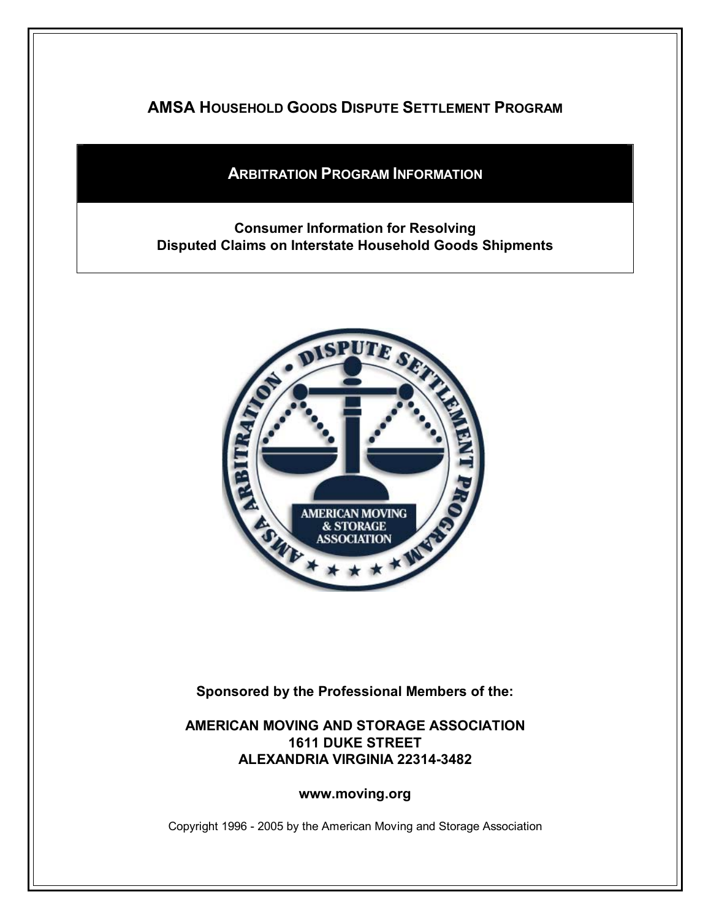**AMSA HOUSEHOLD GOODS DISPUTE SETTLEMENT PROGRAM**

# **ARBITRATION PROGRAM INFORMATION**

## **Consumer Information for Resolving Disputed Claims on Interstate Household Goods Shipments**



**Sponsored by the Professional Members of the:** 

## **AMERICAN MOVING AND STORAGE ASSOCIATION 1611 DUKE STREET ALEXANDRIA VIRGINIA 22314-3482**

**www.moving.org** 

Copyright 1996 - 2005 by the American Moving and Storage Association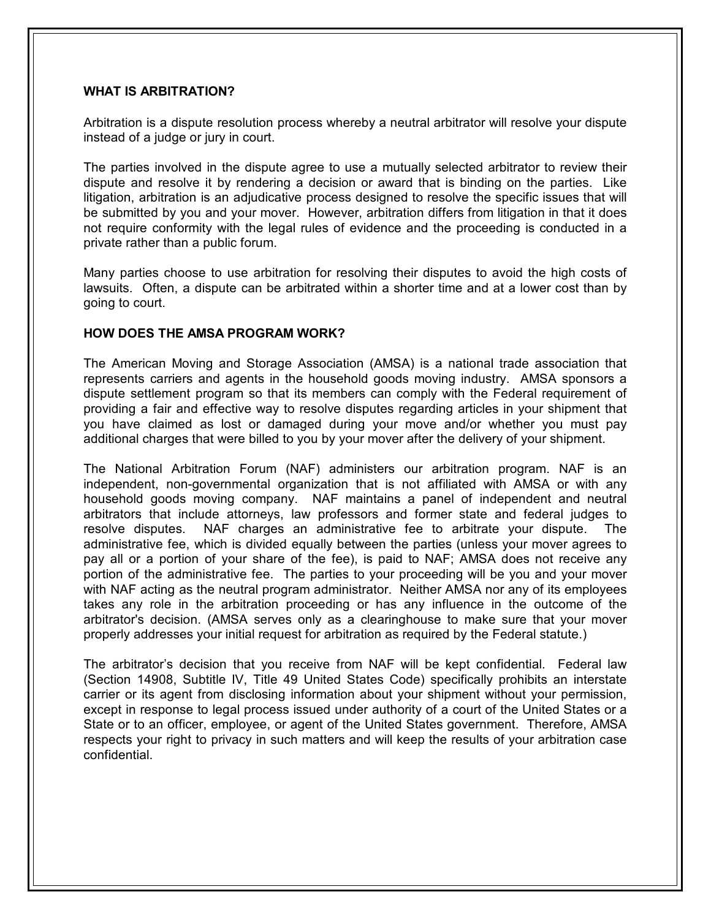### **WHAT IS ARBITRATION?**

Arbitration is a dispute resolution process whereby a neutral arbitrator will resolve your dispute instead of a judge or jury in court.

The parties involved in the dispute agree to use a mutually selected arbitrator to review their dispute and resolve it by rendering a decision or award that is binding on the parties. Like litigation, arbitration is an adjudicative process designed to resolve the specific issues that will be submitted by you and your mover. However, arbitration differs from litigation in that it does not require conformity with the legal rules of evidence and the proceeding is conducted in a private rather than a public forum.

Many parties choose to use arbitration for resolving their disputes to avoid the high costs of lawsuits. Often, a dispute can be arbitrated within a shorter time and at a lower cost than by going to court.

#### **HOW DOES THE AMSA PROGRAM WORK?**

The American Moving and Storage Association (AMSA) is a national trade association that represents carriers and agents in the household goods moving industry. AMSA sponsors a dispute settlement program so that its members can comply with the Federal requirement of providing a fair and effective way to resolve disputes regarding articles in your shipment that you have claimed as lost or damaged during your move and/or whether you must pay additional charges that were billed to you by your mover after the delivery of your shipment.

The National Arbitration Forum (NAF) administers our arbitration program. NAF is an independent, non-governmental organization that is not affiliated with AMSA or with any household goods moving company. NAF maintains a panel of independent and neutral arbitrators that include attorneys, law professors and former state and federal judges to resolve disputes. NAF charges an administrative fee to arbitrate your dispute. The administrative fee, which is divided equally between the parties (unless your mover agrees to pay all or a portion of your share of the fee), is paid to NAF; AMSA does not receive any portion of the administrative fee. The parties to your proceeding will be you and your mover with NAF acting as the neutral program administrator. Neither AMSA nor any of its employees takes any role in the arbitration proceeding or has any influence in the outcome of the arbitrator's decision. (AMSA serves only as a clearinghouse to make sure that your mover properly addresses your initial request for arbitration as required by the Federal statute.)

The arbitrator's decision that you receive from NAF will be kept confidential. Federal law (Section 14908, Subtitle IV, Title 49 United States Code) specifically prohibits an interstate carrier or its agent from disclosing information about your shipment without your permission, except in response to legal process issued under authority of a court of the United States or a State or to an officer, employee, or agent of the United States government. Therefore, AMSA respects your right to privacy in such matters and will keep the results of your arbitration case confidential.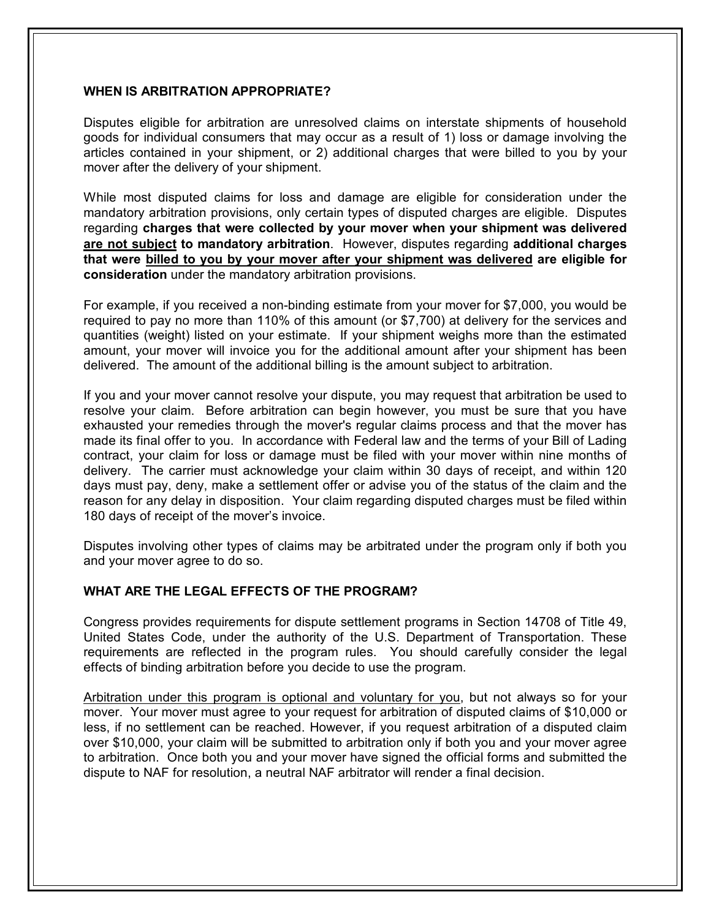### **WHEN IS ARBITRATION APPROPRIATE?**

Disputes eligible for arbitration are unresolved claims on interstate shipments of household goods for individual consumers that may occur as a result of 1) loss or damage involving the articles contained in your shipment, or 2) additional charges that were billed to you by your mover after the delivery of your shipment.

While most disputed claims for loss and damage are eligible for consideration under the mandatory arbitration provisions, only certain types of disputed charges are eligible. Disputes regarding **charges that were collected by your mover when your shipment was delivered are not subject to mandatory arbitration**. However, disputes regarding **additional charges that were billed to you by your mover after your shipment was delivered are eligible for consideration** under the mandatory arbitration provisions.

For example, if you received a non-binding estimate from your mover for \$7,000, you would be required to pay no more than 110% of this amount (or \$7,700) at delivery for the services and quantities (weight) listed on your estimate. If your shipment weighs more than the estimated amount, your mover will invoice you for the additional amount after your shipment has been delivered. The amount of the additional billing is the amount subject to arbitration.

If you and your mover cannot resolve your dispute, you may request that arbitration be used to resolve your claim. Before arbitration can begin however, you must be sure that you have exhausted your remedies through the mover's regular claims process and that the mover has made its final offer to you. In accordance with Federal law and the terms of your Bill of Lading contract, your claim for loss or damage must be filed with your mover within nine months of delivery. The carrier must acknowledge your claim within 30 days of receipt, and within 120 days must pay, deny, make a settlement offer or advise you of the status of the claim and the reason for any delay in disposition. Your claim regarding disputed charges must be filed within 180 days of receipt of the mover's invoice.

Disputes involving other types of claims may be arbitrated under the program only if both you and your mover agree to do so.

## **WHAT ARE THE LEGAL EFFECTS OF THE PROGRAM?**

Congress provides requirements for dispute settlement programs in Section 14708 of Title 49, United States Code, under the authority of the U.S. Department of Transportation. These requirements are reflected in the program rules. You should carefully consider the legal effects of binding arbitration before you decide to use the program.

Arbitration under this program is optional and voluntary for you, but not always so for your mover. Your mover must agree to your request for arbitration of disputed claims of \$10,000 or less, if no settlement can be reached. However, if you request arbitration of a disputed claim over \$10,000, your claim will be submitted to arbitration only if both you and your mover agree to arbitration. Once both you and your mover have signed the official forms and submitted the dispute to NAF for resolution, a neutral NAF arbitrator will render a final decision.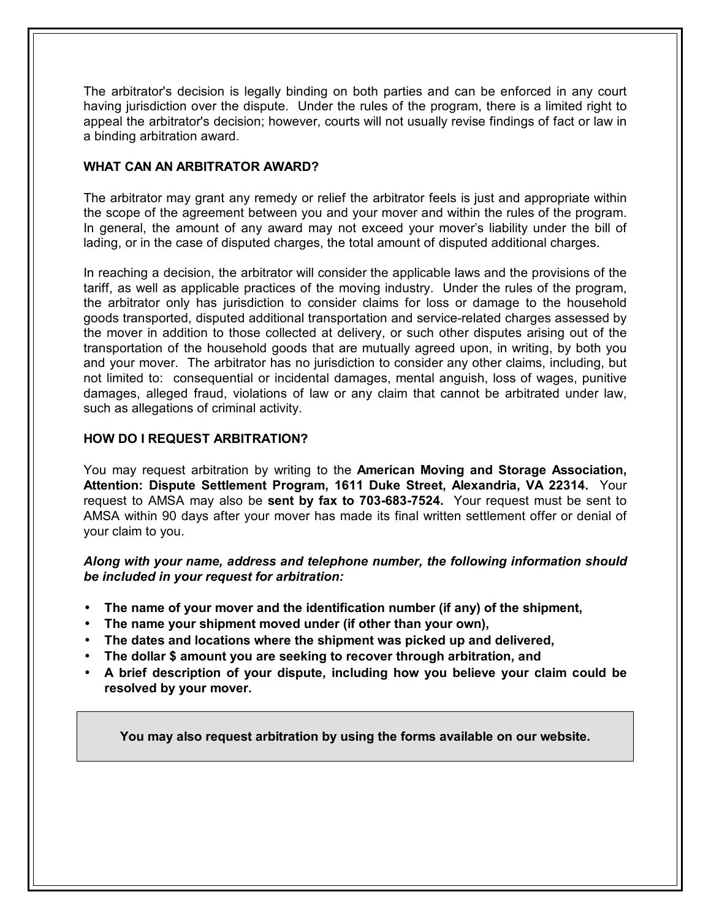The arbitrator's decision is legally binding on both parties and can be enforced in any court having jurisdiction over the dispute. Under the rules of the program, there is a limited right to appeal the arbitrator's decision; however, courts will not usually revise findings of fact or law in a binding arbitration award.

## **WHAT CAN AN ARBITRATOR AWARD?**

The arbitrator may grant any remedy or relief the arbitrator feels is just and appropriate within the scope of the agreement between you and your mover and within the rules of the program. In general, the amount of any award may not exceed your mover's liability under the bill of lading, or in the case of disputed charges, the total amount of disputed additional charges.

In reaching a decision, the arbitrator will consider the applicable laws and the provisions of the tariff, as well as applicable practices of the moving industry. Under the rules of the program, the arbitrator only has jurisdiction to consider claims for loss or damage to the household goods transported, disputed additional transportation and service-related charges assessed by the mover in addition to those collected at delivery, or such other disputes arising out of the transportation of the household goods that are mutually agreed upon, in writing, by both you and your mover. The arbitrator has no jurisdiction to consider any other claims, including, but not limited to: consequential or incidental damages, mental anguish, loss of wages, punitive damages, alleged fraud, violations of law or any claim that cannot be arbitrated under law, such as allegations of criminal activity.

## **HOW DO I REQUEST ARBITRATION?**

You may request arbitration by writing to the **American Moving and Storage Association, Attention: Dispute Settlement Program, 1611 Duke Street, Alexandria, VA 22314.** Your request to AMSA may also be **sent by fax to 703-683-7524.** Your request must be sent to AMSA within 90 days after your mover has made its final written settlement offer or denial of your claim to you.

*Along with your name, address and telephone number, the following information should be included in your request for arbitration:* 

- **The name of your mover and the identification number (if any) of the shipment,**
- **The name your shipment moved under (if other than your own),**
- **The dates and locations where the shipment was picked up and delivered,**
- **The dollar \$ amount you are seeking to recover through arbitration, and**
- **A brief description of your dispute, including how you believe your claim could be resolved by your mover.**

**You may also request arbitration by using the forms available on our website.**